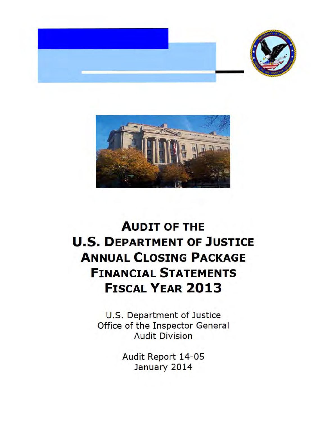



## **AUDIT OF THE U.S. DEPARTMENT OF JUSTICE ANNUAL CLOSING PACKAGE FINANCIAL STATEMENTS FISCAL YEAR 2013**

U.S. Department of Justice Office of the Inspector General Audit Division

> Audit Report 14-05 January 2014